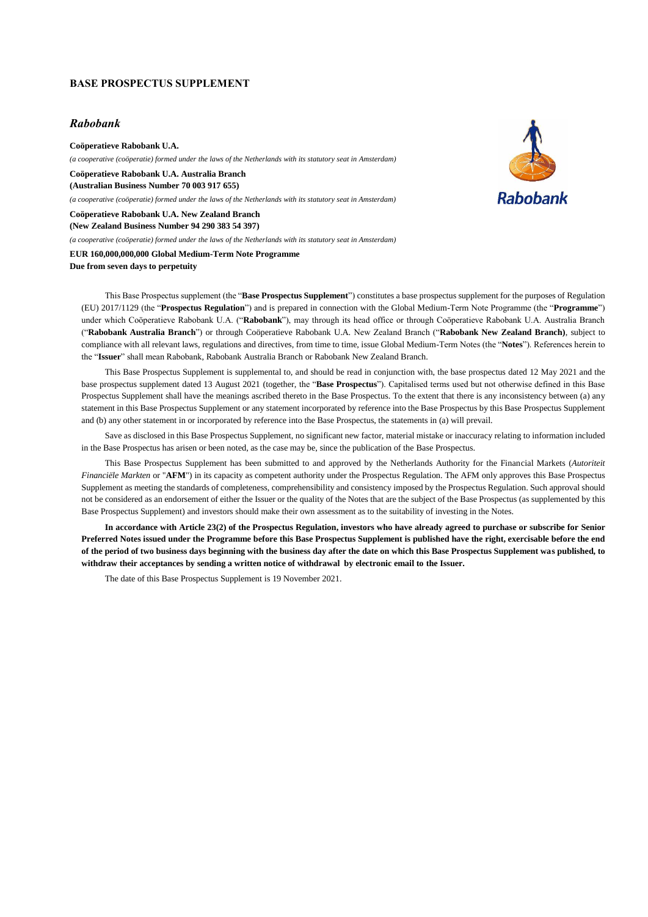## **BASE PROSPECTUS SUPPLEMENT**

## *Rabobank*

**Coöperatieve Rabobank U.A.**  *(a cooperative (coöperatie) formed under the laws of the Netherlands with its statutory seat in Amsterdam)*

**Coöperatieve Rabobank U.A. Australia Branch (Australian Business Number 70 003 917 655)**

*(a cooperative (coöperatie) formed under the laws of the Netherlands with its statutory seat in Amsterdam)*

**Coöperatieve Rabobank U.A. New Zealand Branch (New Zealand Business Number 94 290 383 54 397)**

*(a cooperative (coöperatie) formed under the laws of the Netherlands with its statutory seat in Amsterdam)*

**EUR 160,000,000,000 Global Medium-Term Note Programme Due from seven days to perpetuity**

**Rahobank** 

This Base Prospectus supplement (the "**Base Prospectus Supplement**") constitutes a base prospectus supplement for the purposes of Regulation (EU) 2017/1129 (the "**Prospectus Regulation**") and is prepared in connection with the Global Medium-Term Note Programme (the "**Programme**") under which Coöperatieve Rabobank U.A. ("**Rabobank**"), may through its head office or through Coöperatieve Rabobank U.A. Australia Branch ("**Rabobank Australia Branch**") or through Coöperatieve Rabobank U.A. New Zealand Branch ("**Rabobank New Zealand Branch)**, subject to compliance with all relevant laws, regulations and directives, from time to time, issue Global Medium-Term Notes (the "**Notes**"). References herein to the "**Issuer**" shall mean Rabobank, Rabobank Australia Branch or Rabobank New Zealand Branch.

This Base Prospectus Supplement is supplemental to, and should be read in conjunction with, the base prospectus dated 12 May 2021 and the base prospectus supplement dated 13 August 2021 (together, the "**Base Prospectus**"). Capitalised terms used but not otherwise defined in this Base Prospectus Supplement shall have the meanings ascribed thereto in the Base Prospectus. To the extent that there is any inconsistency between (a) any statement in this Base Prospectus Supplement or any statement incorporated by reference into the Base Prospectus by this Base Prospectus Supplement and (b) any other statement in or incorporated by reference into the Base Prospectus, the statements in (a) will prevail.

Save as disclosed in this Base Prospectus Supplement, no significant new factor, material mistake or inaccuracy relating to information included in the Base Prospectus has arisen or been noted, as the case may be, since the publication of the Base Prospectus.

This Base Prospectus Supplement has been submitted to and approved by the Netherlands Authority for the Financial Markets (*Autoriteit Financiële Markten* or "**AFM**") in its capacity as competent authority under the Prospectus Regulation. The AFM only approves this Base Prospectus Supplement as meeting the standards of completeness, comprehensibility and consistency imposed by the Prospectus Regulation. Such approval should not be considered as an endorsement of either the Issuer or the quality of the Notes that are the subject of the Base Prospectus (as supplemented by this Base Prospectus Supplement) and investors should make their own assessment as to the suitability of investing in the Notes.

**In accordance with Article 23(2) of the Prospectus Regulation, investors who have already agreed to purchase or subscribe for Senior Preferred Notes issued under the Programme before this Base Prospectus Supplement is published have the right, exercisable before the end of the period of two business days beginning with the business day after the date on which this Base Prospectus Supplement was published, to withdraw their acceptances by sending a written notice of withdrawal by electronic email to the Issuer.**

The date of this Base Prospectus Supplement is 19 November 2021.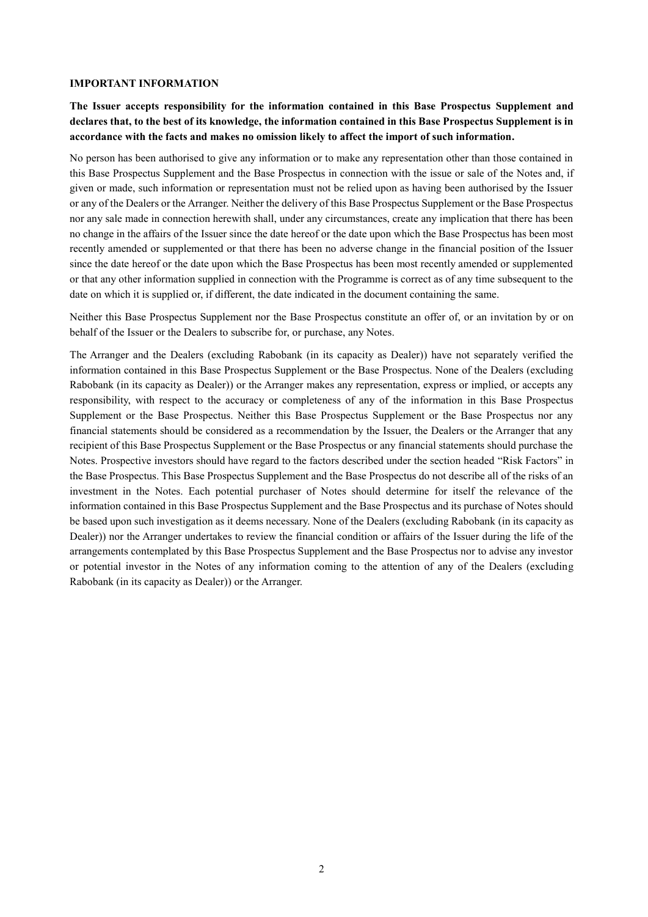## **IMPORTANT INFORMATION**

**The Issuer accepts responsibility for the information contained in this Base Prospectus Supplement and declares that, to the best of its knowledge, the information contained in this Base Prospectus Supplement is in accordance with the facts and makes no omission likely to affect the import of such information.** 

No person has been authorised to give any information or to make any representation other than those contained in this Base Prospectus Supplement and the Base Prospectus in connection with the issue or sale of the Notes and, if given or made, such information or representation must not be relied upon as having been authorised by the Issuer or any of the Dealers or the Arranger. Neither the delivery of this Base Prospectus Supplement or the Base Prospectus nor any sale made in connection herewith shall, under any circumstances, create any implication that there has been no change in the affairs of the Issuer since the date hereof or the date upon which the Base Prospectus has been most recently amended or supplemented or that there has been no adverse change in the financial position of the Issuer since the date hereof or the date upon which the Base Prospectus has been most recently amended or supplemented or that any other information supplied in connection with the Programme is correct as of any time subsequent to the date on which it is supplied or, if different, the date indicated in the document containing the same.

Neither this Base Prospectus Supplement nor the Base Prospectus constitute an offer of, or an invitation by or on behalf of the Issuer or the Dealers to subscribe for, or purchase, any Notes.

The Arranger and the Dealers (excluding Rabobank (in its capacity as Dealer)) have not separately verified the information contained in this Base Prospectus Supplement or the Base Prospectus. None of the Dealers (excluding Rabobank (in its capacity as Dealer)) or the Arranger makes any representation, express or implied, or accepts any responsibility, with respect to the accuracy or completeness of any of the information in this Base Prospectus Supplement or the Base Prospectus. Neither this Base Prospectus Supplement or the Base Prospectus nor any financial statements should be considered as a recommendation by the Issuer, the Dealers or the Arranger that any recipient of this Base Prospectus Supplement or the Base Prospectus or any financial statements should purchase the Notes. Prospective investors should have regard to the factors described under the section headed "Risk Factors" in the Base Prospectus. This Base Prospectus Supplement and the Base Prospectus do not describe all of the risks of an investment in the Notes. Each potential purchaser of Notes should determine for itself the relevance of the information contained in this Base Prospectus Supplement and the Base Prospectus and its purchase of Notes should be based upon such investigation as it deems necessary. None of the Dealers (excluding Rabobank (in its capacity as Dealer)) nor the Arranger undertakes to review the financial condition or affairs of the Issuer during the life of the arrangements contemplated by this Base Prospectus Supplement and the Base Prospectus nor to advise any investor or potential investor in the Notes of any information coming to the attention of any of the Dealers (excluding Rabobank (in its capacity as Dealer)) or the Arranger.